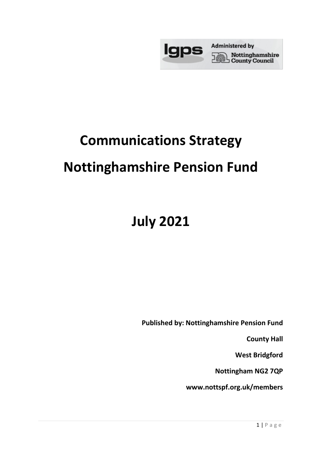

## **Communications Strategy**

### **Nottinghamshire Pension Fund**

# **July 2021**

**Published by: Nottinghamshire Pension Fund**

**County Hall** 

**West Bridgford** 

**Nottingham NG2 7QP**

**www.nottspf.org.uk/members**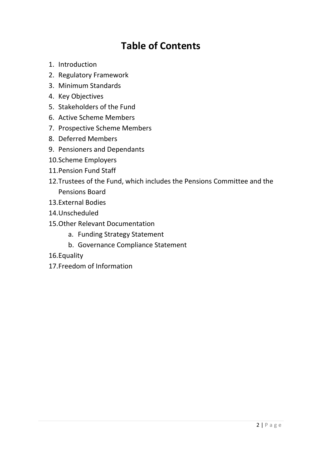### **Table of Contents**

- 1. Introduction
- 2. Regulatory Framework
- 3. Minimum Standards
- 4. Key Objectives
- 5. Stakeholders of the Fund
- 6. Active Scheme Members
- 7. Prospective Scheme Members
- 8. Deferred Members
- 9. Pensioners and Dependants
- 10.Scheme Employers
- 11.Pension Fund Staff
- 12.Trustees of the Fund, which includes the Pensions Committee and the Pensions Board
- 13.External Bodies
- 14.Unscheduled
- 15.Other Relevant Documentation
	- a. Funding Strategy Statement
	- b. Governance Compliance Statement
- 16.Equality
- 17.Freedom of Information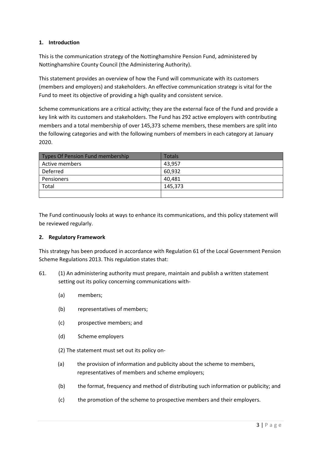#### **1. Introduction**

This is the communication strategy of the Nottinghamshire Pension Fund, administered by Nottinghamshire County Council (the Administering Authority).

This statement provides an overview of how the Fund will communicate with its customers (members and employers) and stakeholders. An effective communication strategy is vital for the Fund to meet its objective of providing a high quality and consistent service.

Scheme communications are a critical activity; they are the external face of the Fund and provide a key link with its customers and stakeholders. The Fund has 292 active employers with contributing members and a total membership of over 145,373 scheme members, these members are split into the following categories and with the following numbers of members in each category at January 2020.

| Types Of Pension Fund membership | Totals  |
|----------------------------------|---------|
| Active members                   | 43,957  |
| Deferred                         | 60,932  |
| <b>Pensioners</b>                | 40.481  |
| Total                            | 145,373 |
|                                  |         |

The Fund continuously looks at ways to enhance its communications, and this policy statement will be reviewed regularly.

#### **2. Regulatory Framework**

This strategy has been produced in accordance with Regulation 61 of the Local Government Pension Scheme Regulations 2013. This regulation states that:

- 61. (1) An administering authority must prepare, maintain and publish a written statement setting out its policy concerning communications with-
	- (a) members;
	- (b) representatives of members;
	- (c) prospective members; and
	- (d) Scheme employers
	- (2) The statement must set out its policy on-
	- (a) the provision of information and publicity about the scheme to members, representatives of members and scheme employers;
	- (b) the format, frequency and method of distributing such information or publicity; and
	- (c) the promotion of the scheme to prospective members and their employers.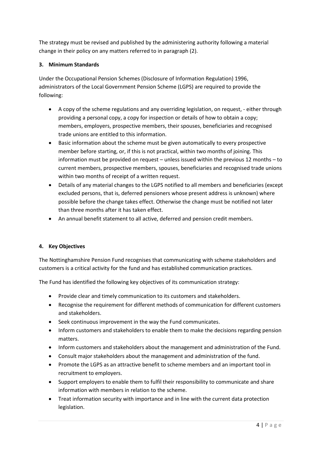The strategy must be revised and published by the administering authority following a material change in their policy on any matters referred to in paragraph (2).

#### **3. Minimum Standards**

Under the Occupational Pension Schemes (Disclosure of Information Regulation) 1996, administrators of the Local Government Pension Scheme (LGPS) are required to provide the following:

- A copy of the scheme regulations and any overriding legislation, on request, either through providing a personal copy, a copy for inspection or details of how to obtain a copy; members, employers, prospective members, their spouses, beneficiaries and recognised trade unions are entitled to this information.
- Basic information about the scheme must be given automatically to every prospective member before starting, or, if this is not practical, within two months of joining. This information must be provided on request – unless issued within the previous 12 months – to current members, prospective members, spouses, beneficiaries and recognised trade unions within two months of receipt of a written request.
- Details of any material changes to the LGPS notified to all members and beneficiaries (except excluded persons, that is, deferred pensioners whose present address is unknown) where possible before the change takes effect. Otherwise the change must be notified not later than three months after it has taken effect.
- An annual benefit statement to all active, deferred and pension credit members.

#### **4. Key Objectives**

The Nottinghamshire Pension Fund recognises that communicating with scheme stakeholders and customers is a critical activity for the fund and has established communication practices.

The Fund has identified the following key objectives of its communication strategy:

- Provide clear and timely communication to its customers and stakeholders.
- Recognise the requirement for different methods of communication for different customers and stakeholders.
- Seek continuous improvement in the way the Fund communicates.
- Inform customers and stakeholders to enable them to make the decisions regarding pension matters.
- Inform customers and stakeholders about the management and administration of the Fund.
- Consult major stakeholders about the management and administration of the fund.
- Promote the LGPS as an attractive benefit to scheme members and an important tool in recruitment to employers.
- Support employers to enable them to fulfil their responsibility to communicate and share information with members in relation to the scheme.
- Treat information security with importance and in line with the current data protection legislation.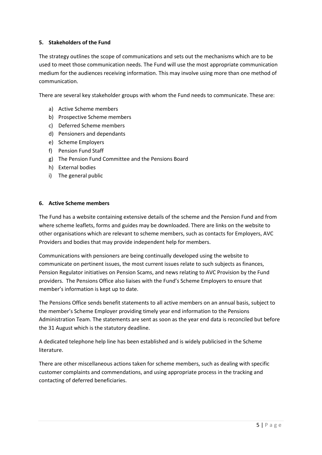#### **5. Stakeholders of the Fund**

The strategy outlines the scope of communications and sets out the mechanisms which are to be used to meet those communication needs. The Fund will use the most appropriate communication medium for the audiences receiving information. This may involve using more than one method of communication.

There are several key stakeholder groups with whom the Fund needs to communicate. These are:

- a) Active Scheme members
- b) Prospective Scheme members
- c) Deferred Scheme members
- d) Pensioners and dependants
- e) Scheme Employers
- f) Pension Fund Staff
- g) The Pension Fund Committee and the Pensions Board
- h) External bodies
- i) The general public

#### **6. Active Scheme members**

The Fund has a website containing extensive details of the scheme and the Pension Fund and from where scheme leaflets, forms and guides may be downloaded. There are links on the website to other organisations which are relevant to scheme members, such as contacts for Employers, AVC Providers and bodies that may provide independent help for members.

Communications with pensioners are being continually developed using the website to communicate on pertinent issues, the most current issues relate to such subjects as finances, Pension Regulator initiatives on Pension Scams, and news relating to AVC Provision by the Fund providers. The Pensions Office also liaises with the Fund's Scheme Employers to ensure that member's information is kept up to date.

The Pensions Office sends benefit statements to all active members on an annual basis, subject to the member's Scheme Employer providing timely year end information to the Pensions Administration Team. The statements are sent as soon as the year end data is reconciled but before the 31 August which is the statutory deadline.

A dedicated telephone help line has been established and is widely publicised in the Scheme literature.

There are other miscellaneous actions taken for scheme members, such as dealing with specific customer complaints and commendations, and using appropriate process in the tracking and contacting of deferred beneficiaries.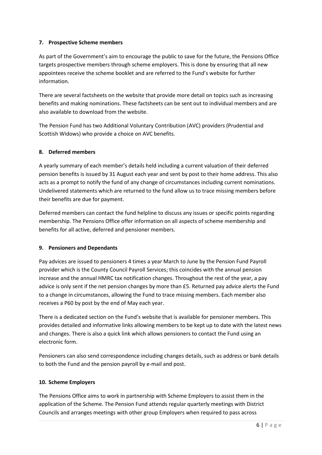#### **7. Prospective Scheme members**

As part of the Government's aim to encourage the public to save for the future, the Pensions Office targets prospective members through scheme employers. This is done by ensuring that all new appointees receive the scheme booklet and are referred to the Fund's website for further information.

There are several factsheets on the website that provide more detail on topics such as increasing benefits and making nominations. These factsheets can be sent out to individual members and are also available to download from the website.

The Pension Fund has two Additional Voluntary Contribution (AVC) providers (Prudential and Scottish Widows) who provide a choice on AVC benefits.

#### **8. Deferred members**

A yearly summary of each member's details held including a current valuation of their deferred pension benefits is issued by 31 August each year and sent by post to their home address. This also acts as a prompt to notify the fund of any change of circumstances including current nominations. Undelivered statements which are returned to the fund allow us to trace missing members before their benefits are due for payment.

Deferred members can contact the fund helpline to discuss any issues or specific points regarding membership. The Pensions Office offer information on all aspects of scheme membership and benefits for all active, deferred and pensioner members.

#### **9. Pensioners and Dependants**

Pay advices are issued to pensioners 4 times a year March to June by the Pension Fund Payroll provider which is the County Council Payroll Services; this coincides with the annual pension increase and the annual HMRC tax notification changes. Throughout the rest of the year, a pay advice is only sent if the net pension changes by more than £5. Returned pay advice alerts the Fund to a change in circumstances, allowing the Fund to trace missing members. Each member also receives a P60 by post by the end of May each year.

There is a dedicated section on the Fund's website that is available for pensioner members. This provides detailed and informative links allowing members to be kept up to date with the latest news and changes. There is also a quick link which allows pensioners to contact the Fund using an electronic form.

Pensioners can also send correspondence including changes details, such as address or bank details to both the Fund and the pension payroll by e-mail and post.

#### **10. Scheme Employers**

The Pensions Office aims to work in partnership with Scheme Employers to assist them in the application of the Scheme. The Pension Fund attends regular quarterly meetings with District Councils and arranges meetings with other group Employers when required to pass across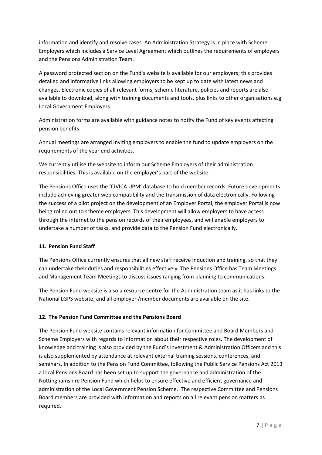information and identify and resolve cases. An Administration Strategy is in place with Scheme Employers which includes a Service Level Agreement which outlines the requirements of employers and the Pensions Administration Team.

A password protected section on the Fund's website is available for our employers; this provides detailed and informative links allowing employers to be kept up to date with latest news and changes. Electronic copies of all relevant forms, scheme literature, policies and reports are also available to download, along with training documents and tools, plus links to other organisations e.g. Local Government Employers.

Administration forms are available with guidance notes to notify the Fund of key events affecting pension benefits.

Annual meetings are arranged inviting employers to enable the fund to update employers on the requirements of the year end activities.

We currently utilise the website to inform our Scheme Employers of their administration responsibilities. This is available on the employer's part of the website.

The Pensions Office uses the 'CIVICA UPM' database to hold member records. Future developments include achieving greater web compatibility and the transmission of data electronically. Following the success of a pilot project on the development of an Employer Portal, the employer Portal is now being rolled out to scheme employers. This development will allow employers to have access through the internet to the pension records of their employees, and will enable employers to undertake a number of tasks, and provide data to the Pension Fund electronically.

#### **11. Pension Fund Staff**

The Pensions Office currently ensures that all new staff receive induction and training, so that they can undertake their duties and responsibilities effectively. The Pensions Office has Team Meetings and Management Team Meetings to discuss issues ranging from planning to communications.

The Pension Fund website is also a resource centre for the Administration team as it has links to the National LGPS website, and all employer /member documents are available on the site.

#### **12. The Pension Fund Committee and the Pensions Board**

The Pension Fund website contains relevant information for Committee and Board Members and Scheme Employers with regards to information about their respective roles. The development of knowledge and training is also provided by the Fund's Investment & Administration Officers and this is also supplemented by attendance at relevant external training sessions, conferences, and seminars. In addition to the Pension Fund Committee, following the Public Service Pensions Act 2013 a local Pensions Board has been set up to support the governance and administration of the Nottinghamshire Pension Fund which helps to ensure effective and efficient governance and administration of the Local Government Pension Scheme. The respective Committee and Pensions Board members are provided with information and reports on all relevant pension matters as required.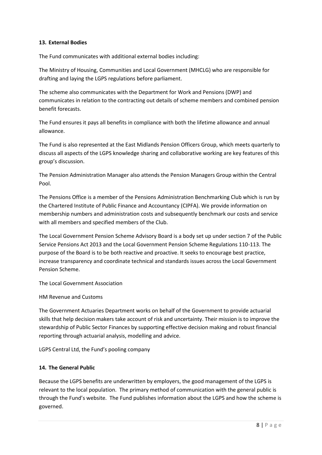#### **13. External Bodies**

The Fund communicates with additional external bodies including:

The Ministry of Housing, Communities and Local Government (MHCLG) who are responsible for drafting and laying the LGPS regulations before parliament.

The scheme also communicates with the Department for Work and Pensions (DWP) and communicates in relation to the contracting out details of scheme members and combined pension benefit forecasts.

The Fund ensures it pays all benefits in compliance with both the lifetime allowance and annual allowance.

The Fund is also represented at the East Midlands Pension Officers Group, which meets quarterly to discuss all aspects of the LGPS knowledge sharing and collaborative working are key features of this group's discussion.

The Pension Administration Manager also attends the Pension Managers Group within the Central Pool.

The Pensions Office is a member of the Pensions Administration Benchmarking Club which is run by the Chartered Institute of Public Finance and Accountancy (CIPFA). We provide information on membership numbers and administration costs and subsequently benchmark our costs and service with all members and specified members of the Club.

The Local Government Pension Scheme Advisory Board is a body set up under section 7 of the Public Service Pensions Act 2013 and the Local Government Pension Scheme Regulations 110-113. The purpose of the Board is to be both reactive and proactive. It seeks to encourage best practice, increase transparency and coordinate technical and standards issues across the Local Government Pension Scheme.

The Local Government Association

HM Revenue and Customs

The Government Actuaries Department works on behalf of the Government to provide actuarial skills that help decision makers take account of risk and uncertainty. Their mission is to improve the stewardship of Public Sector Finances by supporting effective decision making and robust financial reporting through actuarial analysis, modelling and advice.

LGPS Central Ltd, the Fund's pooling company

#### **14. The General Public**

Because the LGPS benefits are underwritten by employers, the good management of the LGPS is relevant to the local population. The primary method of communication with the general public is through the Fund's website. The Fund publishes information about the LGPS and how the scheme is governed.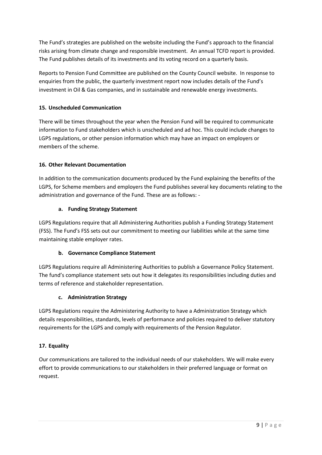The Fund's strategies are published on the website including the Fund's approach to the financial risks arising from climate change and responsible investment. An annual TCFD report is provided. The Fund publishes details of its investments and its voting record on a quarterly basis.

Reports to Pension Fund Committee are published on the County Council website. In response to enquiries from the public, the quarterly investment report now includes details of the Fund's investment in Oil & Gas companies, and in sustainable and renewable energy investments.

#### **15. Unscheduled Communication**

There will be times throughout the year when the Pension Fund will be required to communicate information to Fund stakeholders which is unscheduled and ad hoc. This could include changes to LGPS regulations, or other pension information which may have an impact on employers or members of the scheme.

#### **16. Other Relevant Documentation**

In addition to the communication documents produced by the Fund explaining the benefits of the LGPS, for Scheme members and employers the Fund publishes several key documents relating to the administration and governance of the Fund. These are as follows: -

#### **a. Funding Strategy Statement**

LGPS Regulations require that all Administering Authorities publish a Funding Strategy Statement (FSS). The Fund's FSS sets out our commitment to meeting our liabilities while at the same time maintaining stable employer rates.

#### **b. Governance Compliance Statement**

LGPS Regulations require all Administering Authorities to publish a Governance Policy Statement. The fund's compliance statement sets out how it delegates its responsibilities including duties and terms of reference and stakeholder representation.

#### **c. Administration Strategy**

LGPS Regulations require the Administering Authority to have a Administration Strategy which details responsibilities, standards, levels of performance and policies required to deliver statutory requirements for the LGPS and comply with requirements of the Pension Regulator.

#### **17. Equality**

Our communications are tailored to the individual needs of our stakeholders. We will make every effort to provide communications to our stakeholders in their preferred language or format on request.